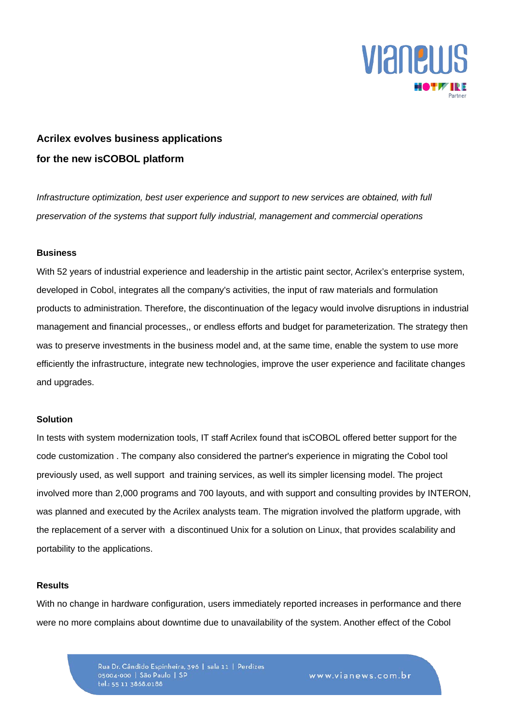

# **Acrilex evolves business applications for the new isCOBOL platform**

*Infrastructure optimization, best user experience and support to new services are obtained, with full preservation of the systems that support fully industrial, management and commercial operations*

#### **Business**

With 52 years of industrial experience and leadership in the artistic paint sector, Acrilex's enterprise system, developed in Cobol, integrates all the company's activities, the input of raw materials and formulation products to administration. Therefore, the discontinuation of the legacy would involve disruptions in industrial management and financial processes,, or endless efforts and budget for parameterization. The strategy then was to preserve investments in the business model and, at the same time, enable the system to use more efficiently the infrastructure, integrate new technologies, improve the user experience and facilitate changes and upgrades.

### **Solution**

In tests with system modernization tools, IT staff Acrilex found that isCOBOL offered better support for the code customization . The company also considered the partner's experience in migrating the Cobol tool previously used, as well support and training services, as well its simpler licensing model. The project involved more than 2,000 programs and 700 layouts, and with support and consulting provides by INTERON, was planned and executed by the Acrilex analysts team. The migration involved the platform upgrade, with the replacement of a server with a discontinued Unix for a solution on Linux, that provides scalability and portability to the applications.

#### **Results**

With no change in hardware configuration, users immediately reported increases in performance and there were no more complains about downtime due to unavailability of the system. Another effect of the Cobol

> Rua Dr. Cândido Espinheira, 396 | sala 11 | Perdizes 05004-000 | São Paulo | SP tel.: 55 11 3868.0188

www.vianews.com.br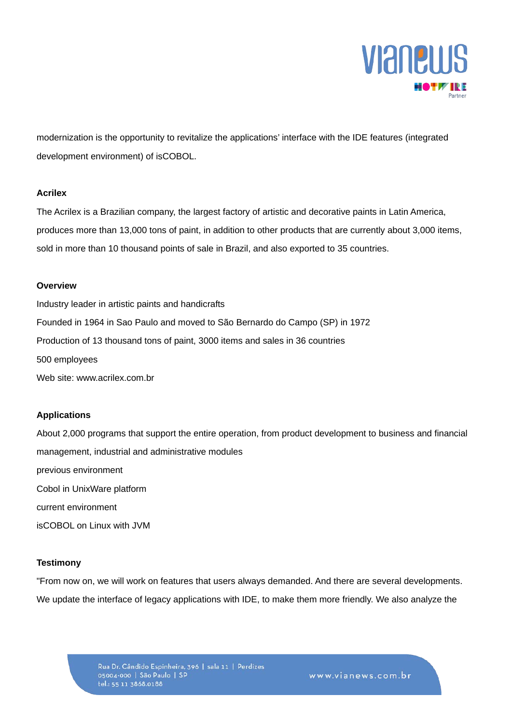

modernization is the opportunity to revitalize the applications' interface with the IDE features (integrated development environment) of isCOBOL.

### **Acrilex**

The Acrilex is a Brazilian company, the largest factory of artistic and decorative paints in Latin America, produces more than 13,000 tons of paint, in addition to other products that are currently about 3,000 items, sold in more than 10 thousand points of sale in Brazil, and also exported to 35 countries.

#### **Overview**

Industry leader in artistic paints and handicrafts Founded in 1964 in Sao Paulo and moved to São Bernardo do Campo (SP) in 1972 Production of 13 thousand tons of paint, 3000 items and sales in 36 countries 500 employees Web site: www.acrilex.com.br

## **Applications**

About 2,000 programs that support the entire operation, from product development to business and financial management, industrial and administrative modules previous environment Cobol in UnixWare platform current environment isCOBOL on Linux with JVM

# **Testimony**

"From now on, we will work on features that users always demanded. And there are several developments. We update the interface of legacy applications with IDE, to make them more friendly. We also analyze the